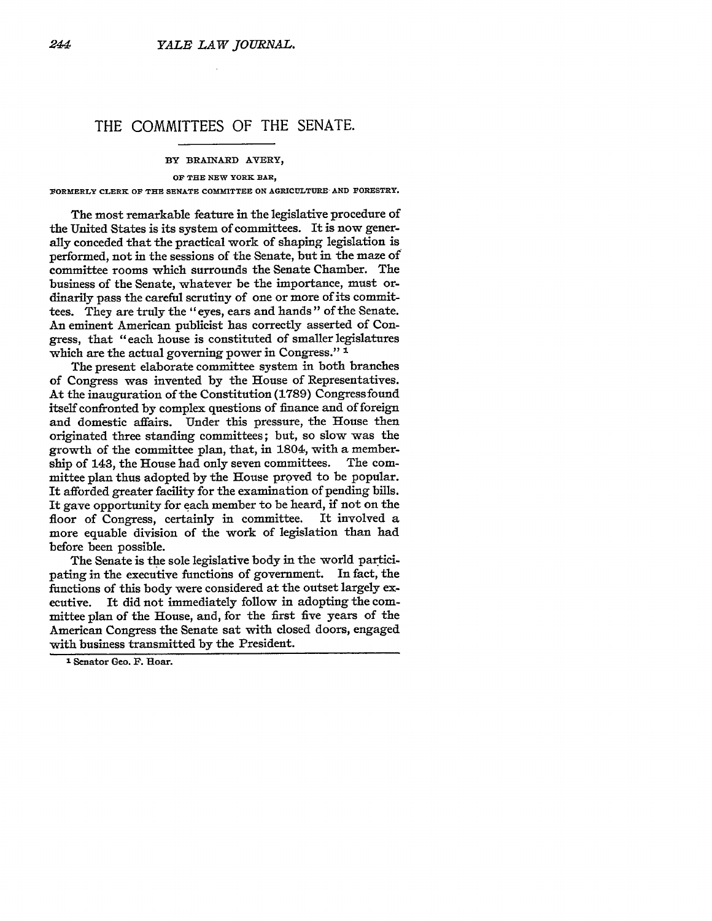## THE **COMMITTEES** OF THE **SENATE.**

## BY BRAINARD AVERY,

**OF THE** NEW **YORK BAR,**

**FORMERLY CLERK OF THE SENATE COMMITTEE ON AGRICULTURE- AND FORESTRY.**

The most remarkable feature in the legislative procedure of the United States is its system of committees. It is now generally conceded that the practical work of shaping legislation is performed, not in the sessions of the Senate, but in the maze of committee rooms which surrounds the Senate Chamber. The business of the Senate, whatever be the importance, must ordinarily pass the careful scrutiny of one or more of its committees. They are truly the "eyes, ears and hands" of the Senate. An eminent American publicist has correctly asserted of Congress, that "each house is constituted of smaller legislatures which are the actual governing power in Congress." **"**

The present elaborate committee system in both branches of Congress was invented by the House of Representatives. At the inauguration of the Constitution (1789) Congressfound itself confronted by complex questions of finance and of foreign and domestic affairs. Under this pressure, the House then originated three standing committees; but, so slow was the growth of the committee plan, that, in 1804, with a member-<br>ship of 143, the House had only seven committees. The comship of 143, the House had only seven committees. mittee plan thus adopted by the House proved to be popular. It afforded greater facility for the examination of pending bills. It gave opportunity for each member to be heard, if not on the floor of Congress, certainly in committee. It involved a more equable division of the work of legislation than had before been possible.

The Senate is the sole legislative body in the world paticipating in the executive functions of government. In fact, the functions of this body were considered at the outset largely executive. It did not immediately follow in adopting the committee plan of the House, and, for the first five years of the American Congress the Senate sat with closed doors, engaged with business transmitted by the President.

**<sup>1</sup>**Senator **Geo. F.** Hoar.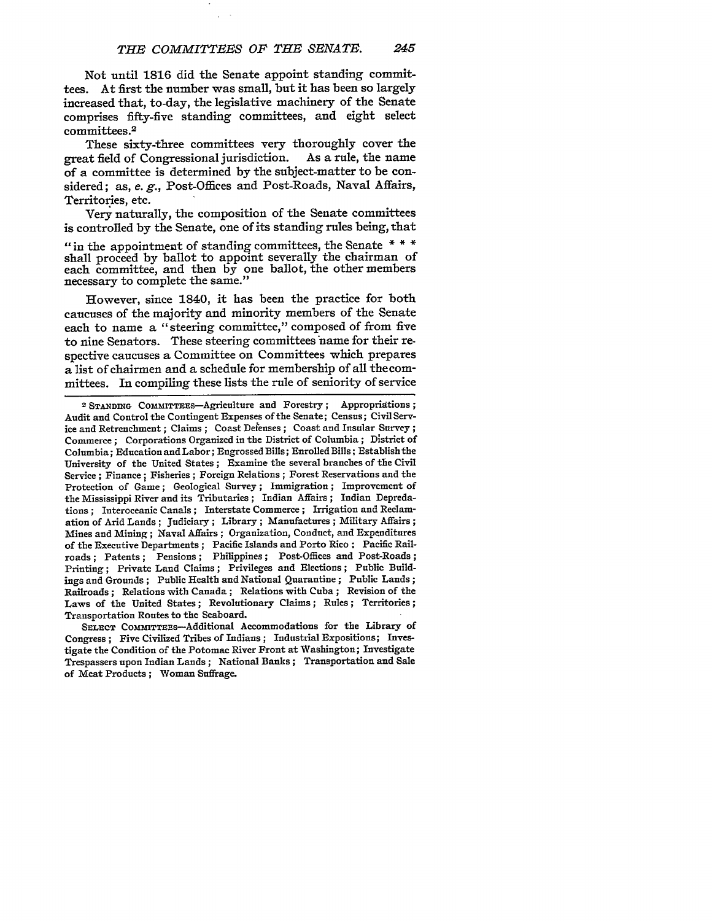Not until **1816** did the Senate appoint standing committees. At first the number was small, but it has been so largely increased that, to-day, the legislative machinery of the Senate comprises fifty-five standing committees, and eight select committees. <sup>2</sup>

These sixty-three committees very thoroughly cover the at field of Congressional jurisdiction. As a rule, the name great field of Congressional jurisdiction. of a committee is determined **by** the subject-matter to be considered; as, e. *g.,* Post-Offices and Post-Roads, Naval Affairs, Territories, etc.

Very naturally, the composition of the Senate committees is controlled **by** the Senate, one of its standing rules being, that

"in the appointment of standing committees, the Senate **\* \* \*** shall proceed **by** ballot to appoint severally the chairman of each committee, and then **by** one ballot, the other members necessary to complete the same."

However, since 1840, it has been the practice for both caucuses of the majority and minority members of the Senate each to name a "steering committee," composed of from five to nine Senators. These steering committees name for their respective caucuses a Committee on Committees which prepares a list of chairmen and a schedule for membership of all thecommittees. In compiling these lists the rule of seniority of service

SELECT COMMITTEES-Additional Accommodations for the Library of Congress; Five Civilized Tribes of Indians; Industrial Expositions; Investigate the Condition of the Potomac River Front at Washington; Investigate Trespassers upon Indian Lands; National Banks; Transportation and Sale of Meat Products; Woman Suffrage.

**<sup>2</sup> STANDING** CommTTEEs-Agriculture and Forestry; Appropriations; Audit and Control the Contingent Expenses of the Senate; Census; Civil Service and Retrenchment; Claims **;** Coast Defenses ; Coast and Insular Survey; Commerce; Corporations Organized in the District of Columbia; District of Columbia; Education and Labor; Engrossed Bills; Enrolled Bills; Establish the University of the United States; Examine the several branches of the Civil Service; Finance; Fisheries; Foreign Relations; Forest Reservations and the Protection of Game; Geological Survey; Immigration; Improvement of the Mississippi River and its Tributaries **;** Indian Affairs **;** Indian Depredations; Interoceanic Canals; Interstate Commerce; Irrigation and Reclamation of Arid Lands **;** Judiciary **;** Library **;** Manufactures **;** Military Affairs **;** Mines and Mining; Naval Affairs; Organization, Conduct, and Expenditures of the Executive Departments ; Pacific Islands and Porto Rico ; Pacific Railroads; Patents; Pensions; Philippines; Post-Offices and Post-Roads; Printing; Private Land Claims; Privileges and Elections; Public Buildings and Grounds; Public Health and National Quarantine; Public Lands; Railroads; Relations with Canada; Relations with Cuba; Revision of the Laws of the United States; Revolutionary Claims; Rules; Territories; Transportation Routes to the Seaboard.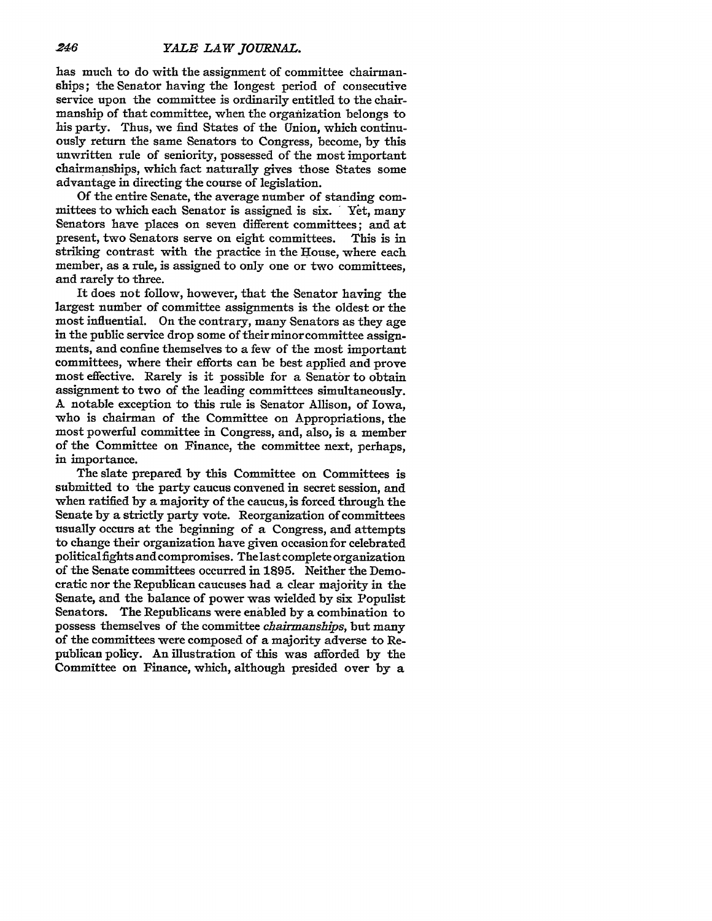has much to do with the assignment of committee chairmanships; the Senator having the longest period of consecutive service upon the committee is ordinarily entitled to the chairmanship of that committee, when the organization belongs to his party. Thus, we find States of the Union, which continuously return the same Senators to Congress, become, **by** this unwritten rule of seniority, possessed of the most important chairmanships, which fact naturally gives those States some advantage in directing the course of legislation.

Of the entire Senate, the average number of standing committees to which each Senator is assigned is six. Yet, many Senators have places on seven different committees; and at present, two Senators serve on eight committees. This is in striking contrast with the practice in the House, where each member, as a rule, is assigned to only one or two committees, and rarely to three.

It does not follow, however, that the Senator having the largest number of committee assignments is the oldest or the most influential. On the contrary, many Senators as they age in the public service drop some of their minor committee assignments, and confine themselves to a few of the most important committees, where their efforts can be best applied and prove most effective. Rarely is it possible for a Senator to obtain assignment to two of the leading committees simultaneously. **A** notable exception to this rule is Senator Allison, of Iowa, who is chairman of the Committee on Appropriations, the most powerful committee in Congress, and, also, is a member of the Committee on Finance, the committee next, perhaps, in importance.

The slate prepared **by** this Committee on Committees is submitted to the party caucus convened in secret session, and when ratified **by** a majority of the caucus, is forced through the Senate **by** a strictly party vote. Reorganization of committees usually occurs at the beginning of a Congress, and attempts to change their organization have given occasion for celebrated political fights and compromises. The last complete organization of the Senate committees occurred in **1895.** Neither the Democratic nor the Republican caucuses had a clear majority in the Senate, and the balance of power was wielded by six Populist Senators. The Republicans were enabled **by** a combination to possess themselves of the committee *chairmanships,* but many of the committees were composed of a majority adverse to Republican policy. An illustration of this was afforded by the Committee on Finance, which, although presided over **by** a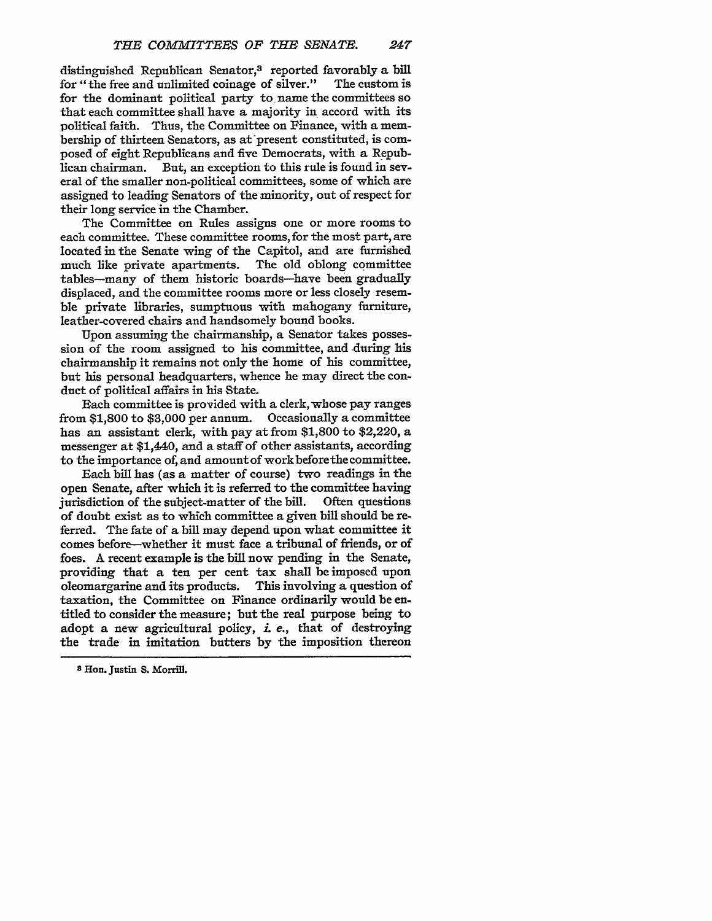distinguished Republican Senator,<sup>3</sup> reported favorably a bill for "the free and unlimited coinage of silver." The custom is for "the free and unlimited coinage of silver." for the dominant political party to name the committees so that each committee shall have a majority in accord with its political faith. Thus, the Committee on Finance, with a membership of thirteen Senators, as at present constituted, is composed of eight Republicans and five Democrats, with a Republican chairman. But, an exception to this rule is found in several of the smaller non-political committees, some of which are assigned to leading Senators of the minority, out of respect for their long service in the Chamber.

The Committee on Rules assigns one or more rooms to each committee. These committee rooms, for the most part, are located in the Senate wing of the Capitol, and are furnished much like private apartments. The old oblong committee tables-many of them historic boards-have been gradually displaced, and the committee rooms more or less closely resemble private libraries, sumptuous with mahogany furniture, leather-covered chairs and handsomely bound books.

Upon assuming the chairmanship, a Senator takes possession of the room assigned to his committee, and during his chairmanship it remains not only the home of his committee, but his personal headquarters, whence he may direct the conduct of political affairs in his State.

Each committee is provided with a clerk, whose pay ranges from \$1,800 to \$3,000 per annum. Occasionally a committee has an assistant clerk, with pay at from \$1,800 to \$2,220, a messenger at \$1,440, and a staff of other assistants, according to the importance of, and amount of work before the committee.

Each bill has (as a matter of course) two readings in the open Senate, after which it is referred to the committee having<br>iurisdiction of the subject-matter of the bill. Often questions jurisdiction of the subject-matter of the bill. of doubt exist as to which committee a given bill should be referred. The fate of a bill may depend upon what committee it comes before-whether it must face a tribunal of friends, or of foes. A recent example is the bill now pending in the Senate, providing that a ten per cent tax shall be imposed upon oleomargarine and its products. This involving a question of taxation, the Committee on Finance ordinarily would be entitled to consider the measure; but the real purpose being to adopt a new agricultural policy, *i.* **e.,** that of destroying the trade in imitation butters by the imposition thereon

**s** Hon. Justin **S.** Morrill.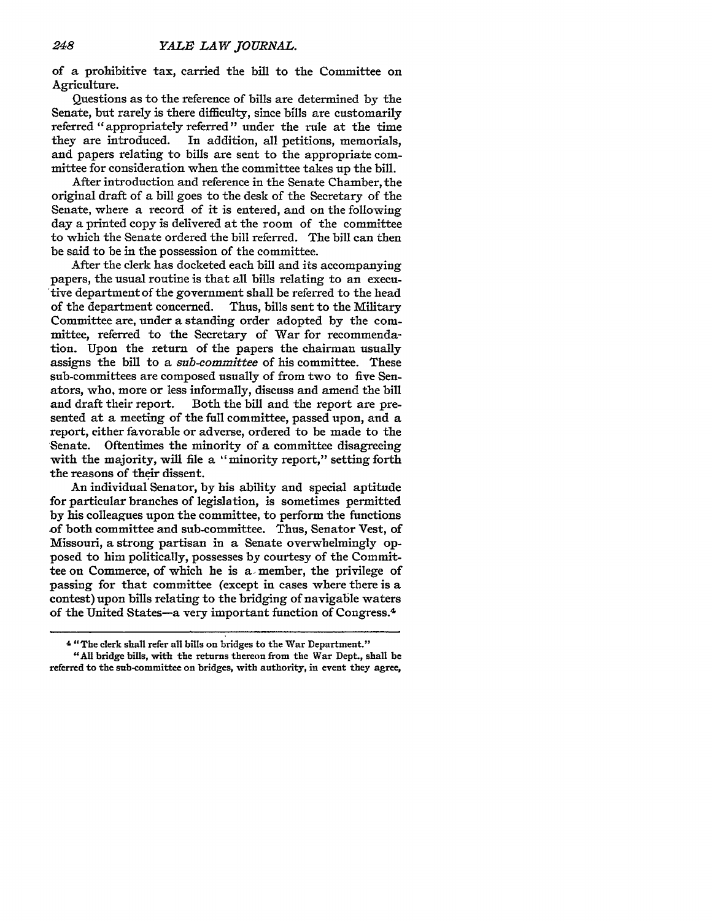of a prohibitive tax, carried the bill to the Committee on Agriculture.

Questions as to the reference of bills are determined by the Senate, but rarely is there difficulty, since bills are customarily referred "appropriately referred" under the rule at the time In addition, all petitions, memorials, and papers relating to bills are sent to the appropriate committee for consideration when the committee takes up the bill.

After introduction and reference in the Senate Chamber, the original draft of a bill goes to the desk of the Secretary of the Senate, where a record of it is entered, and on the following day a printed copy is delivered at the room of the committee to which the Senate ordered the bill referred. The bill can then be said to be in the possession of the committee.

After the clerk has docketed each bill and its accompanying papers, the usual routine is that all bills relating to an executive department of the government shall be referred to the head of the department concerned. Thus, bills sent to the Military Committee are, under a standing order adopted by the committee, referred to the Secretary of War for recommendation. Upon the return of the papers the chairman usually assigns the bill to a *sub-committee* of his committee. These sub-committees are composed usually of from two to five Senators, who, more or less informally, discuss and amend the bill and draft their report. Both the bill and the report are presented at a meeting of the full committee, passed upon, and a report, either favorable or adverse, ordered to be made to the Senate. Oftentimes the minority of a committee disagreeing with the majority, will file a "minority report," setting forth the reasons of their dissent.

An individual Senator, by his ability and special aptitude for particular branches of legislation, is sometimes permitted by his colleagues upon the committee, to perform the functions of both committee and sub-committee. Thus, Senator Vest, of Missouri, a strong partisan in a Senate overwhelmingly opposed to him politically, possesses by courtesy of the Committee on Commerce, of which he is a, member, the privilege of passing for that committee (except in cases where there is a contest) upon bills relating to the bridging of navigable waters of the United States-a very important function of Congress.4

<sup>&#</sup>x27;"The clerk shall refer all bills on bridges to the War Department."

<sup>&</sup>quot;All bridge bills, with the returns thereon from the War Dept., shall be referred to the sub-committee on bridges, with authority, in event they agree,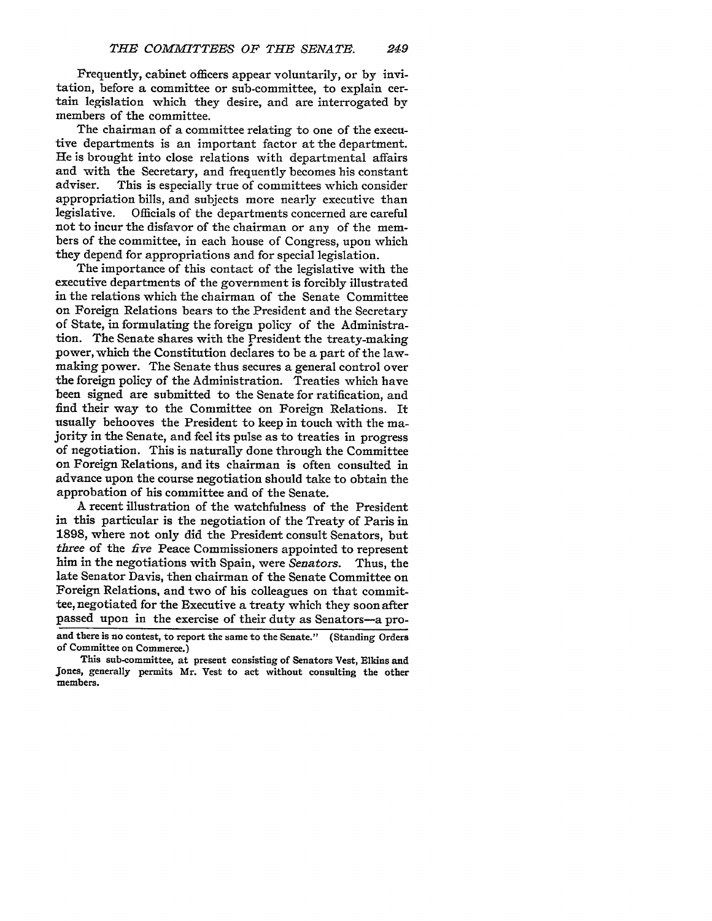Frequently, cabinet officers appear voluntarily, or by invitation, before a committee or sub-committee, to explain certain legislation which they desire, and are interrogated by members of the committee.

The chairman of a committee relating to one of the executive departments is an important factor at the department. He is brought into close relations with departmental affairs and with the Secretary, and frequently becomes his constant adviser. This is especially true of committees which consider appropriation bills, and subjects more nearly executive than legislative. Officials of the departments concerned are careful not to incur the disfavor of the chairman or any of the members of the committee, in each house of Congress, upon which they depend for appropriations and for special legislation.

The importance of this contact of the legislative with the executive departments of the government is forcibly illustrated in the relations which the chairman of the Senate Committee on Foreign Relations bears to the President and the Secretary of State, in formulating the foreign policy of the Administration. The Senate shares with the President the treaty-making power, which the Constitution declares to be a part of the lawmaking power. The Senate thus secures a general control over the foreign policy of the Administration. Treaties which have been signed are submitted to the Senate for ratification, and find their way to the Committee on Foreign Relations. It usually behooves the President to keep in touch with the majority in the Senate, and feel its pulse as to treaties in progress of negotiation. This is naturally done through the Committee on Foreign Relations, and its chairman is often consulted in advance upon the course negotiation should take to obtain the approbation of his committee and of the Senate.

A recent illustration of the watchfulness of the President in this particular is the negotiation of the Treaty of Paris in 1898, where not only did the President consult Senators, but *three* of the *five* Peace Commissioners appointed to represent him in the negotiations with Spain, were *Senators.* Thus, the late Senator Davis, then chairman of the Senate Committee on Foreign Relations, and two of his colleagues on that committee, negotiated for the Executive a treaty which they soon after passed upon in the exercise of their duty as Senators-a pro-

and there is no contest, to report the same to the Senate." (Standing Orders of Committee on Commerce.)

This sub-committee, at present consisting of Senators Vest, Elkins and Jones, generally permits Mr. Vest to act without consulting the other members.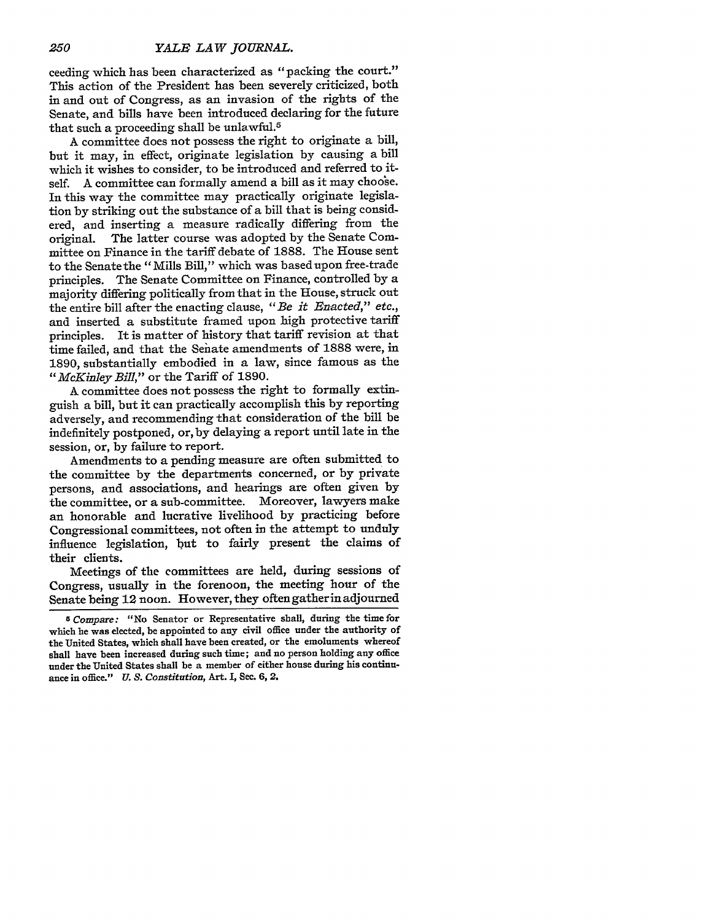ceeding which has been characterized as "packing the court." This action of the President has been severely criticized, both in and out of Congress, as an invasion of the rights of the Senate, and bills have been introduced declaring for the future that such a proceeding shall be unlawful.5

A committee does not possess the right to originate a bill, but it may, in effect, originate legislation by causing a bill which it wishes to consider, to be introduced and referred to itself. A committee can formally amend a bill as it may choose. In this way the committee may practically originate legislation by striking out the substance of a bill that is being considered, and inserting a measure radically differing from the original. The latter course was adopted by the Senate Committee on Finance in the tariff debate of 1888. The House sent to the Senatethe "Mills Bill," which was basedupon free-trade principles. The Senate Committee on Finance, controlled by a majority differing politically from that in the House, struck out the entire bill after the enacting clause, *"Be it Enacted," etc.,* and inserted a substitute framed upon high protective tariff principles. It is matter of history that tariff revision at that time failed, and that the Sehate amendments of 1888 were, in 1890, substantially embodied in a law, since famous as the *"McKinley Bill,"* or the Tariff of 1890.

A committee does not possess the right to formally extinguish a bill, but it can practically accomplish this by reporting adversely, and recommending that consideration of the bill be indefinitely postponed, or, by delaying a report until late in the session, or, by failure to report.

Amendments to a pending measure are often submitted to the committee by the departments concerned, or by private persons, and associations, and hearings are often given by the committee, or a sub-committee. Moreover, lawyers make an honorable and lucrative livelihood by practicing before Congressional committees, not often in the attempt to unduly influence legislation, but to fairly present the claims of their clients.

Meetings of the committees are held, during sessions of Congress, usually in the forenoon, the meeting hour of the Senate being 12 noon. However, they often gatherin adjourned

<sup>5</sup> *Compare:* "No Senator or Representative shall, during the time for which he was elected, be appointed to any civil office under the authority of the United States, which shall have been created, or the emoluments whereof shall have been increased during such time; and no person holding any office under the United States shall be a member of either house during his continuance in office." *U. S. Constitution,* Art. I, Sec. **6,2.**